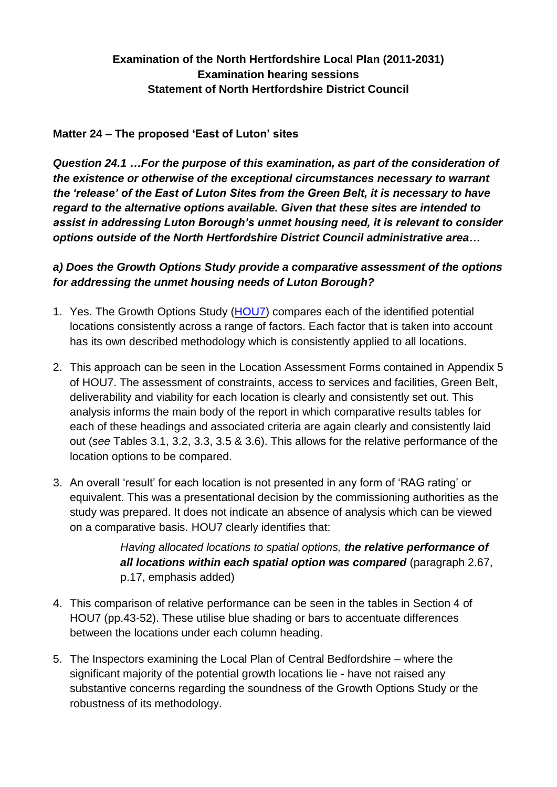# **Examination of the North Hertfordshire Local Plan (2011-2031) Examination hearing sessions Statement of North Hertfordshire District Council**

#### **Matter 24 – The proposed 'East of Luton' sites**

*Question 24.1 …For the purpose of this examination, as part of the consideration of the existence or otherwise of the exceptional circumstances necessary to warrant the 'release' of the East of Luton Sites from the Green Belt, it is necessary to have regard to the alternative options available. Given that these sites are intended to assist in addressing Luton Borough's unmet housing need, it is relevant to consider options outside of the North Hertfordshire District Council administrative area…*

#### *a) Does the Growth Options Study provide a comparative assessment of the options for addressing the unmet housing needs of Luton Borough?*

- 1. Yes. The Growth Options Study [\(HOU7\)](https://www.north-herts.gov.uk/files/hou7-luton-hma-growth-options-studypdf) compares each of the identified potential locations consistently across a range of factors. Each factor that is taken into account has its own described methodology which is consistently applied to all locations.
- 2. This approach can be seen in the Location Assessment Forms contained in Appendix 5 of HOU7. The assessment of constraints, access to services and facilities, Green Belt, deliverability and viability for each location is clearly and consistently set out. This analysis informs the main body of the report in which comparative results tables for each of these headings and associated criteria are again clearly and consistently laid out (*see* Tables 3.1, 3.2, 3.3, 3.5 & 3.6). This allows for the relative performance of the location options to be compared.
- 3. An overall 'result' for each location is not presented in any form of 'RAG rating' or equivalent. This was a presentational decision by the commissioning authorities as the study was prepared. It does not indicate an absence of analysis which can be viewed on a comparative basis. HOU7 clearly identifies that:

*Having allocated locations to spatial options, the relative performance of all locations within each spatial option was compared* (paragraph 2.67, p.17, emphasis added)

- 4. This comparison of relative performance can be seen in the tables in Section 4 of HOU7 (pp.43-52). These utilise blue shading or bars to accentuate differences between the locations under each column heading.
- 5. The Inspectors examining the Local Plan of Central Bedfordshire where the significant majority of the potential growth locations lie - have not raised any substantive concerns regarding the soundness of the Growth Options Study or the robustness of its methodology.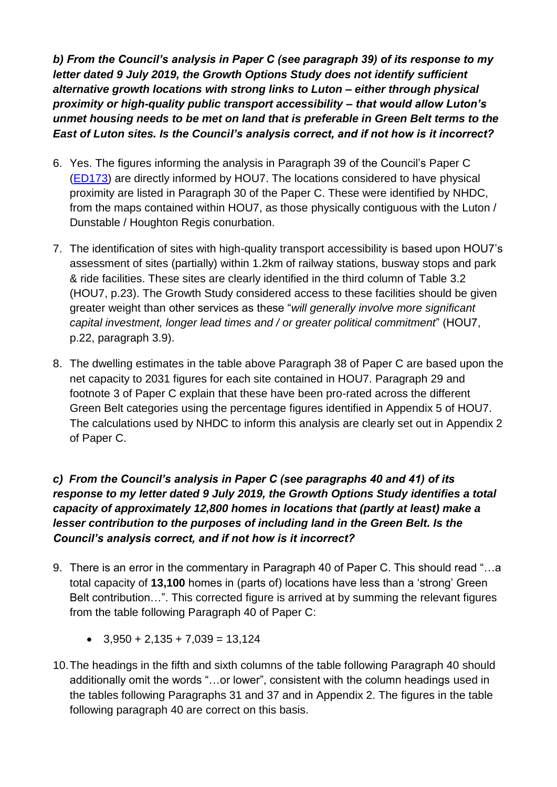*b) From the Council's analysis in Paper C (see paragraph 39) of its response to my letter dated 9 July 2019, the Growth Options Study does not identify sufficient alternative growth locations with strong links to Luton – either through physical proximity or high-quality public transport accessibility – that would allow Luton's unmet housing needs to be met on land that is preferable in Green Belt terms to the East of Luton sites. Is the Council's analysis correct, and if not how is it incorrect?*

- 6. Yes. The figures informing the analysis in Paragraph 39 of the Council's Paper C [\(ED173\)](https://www.north-herts.gov.uk/files/nhdc-response-inspector-9-july-2019-letter-paper-c-east-lutonpdf) are directly informed by HOU7. The locations considered to have physical proximity are listed in Paragraph 30 of the Paper C. These were identified by NHDC, from the maps contained within HOU7, as those physically contiguous with the Luton / Dunstable / Houghton Regis conurbation.
- 7. The identification of sites with high-quality transport accessibility is based upon HOU7's assessment of sites (partially) within 1.2km of railway stations, busway stops and park & ride facilities. These sites are clearly identified in the third column of Table 3.2 (HOU7, p.23). The Growth Study considered access to these facilities should be given greater weight than other services as these "*will generally involve more significant capital investment, longer lead times and / or greater political commitment*" (HOU7, p.22, paragraph 3.9).
- 8. The dwelling estimates in the table above Paragraph 38 of Paper C are based upon the net capacity to 2031 figures for each site contained in HOU7. Paragraph 29 and footnote 3 of Paper C explain that these have been pro-rated across the different Green Belt categories using the percentage figures identified in Appendix 5 of HOU7. The calculations used by NHDC to inform this analysis are clearly set out in Appendix 2 of Paper C.

## *c) From the Council's analysis in Paper C (see paragraphs 40 and 41) of its response to my letter dated 9 July 2019, the Growth Options Study identifies a total capacity of approximately 12,800 homes in locations that (partly at least) make a lesser contribution to the purposes of including land in the Green Belt. Is the Council's analysis correct, and if not how is it incorrect?*

- 9. There is an error in the commentary in Paragraph 40 of Paper C. This should read "…a total capacity of **13,100** homes in (parts of) locations have less than a 'strong' Green Belt contribution…". This corrected figure is arrived at by summing the relevant figures from the table following Paragraph 40 of Paper C:
	- $\bullet$  3,950 + 2,135 + 7,039 = 13,124
- 10.The headings in the fifth and sixth columns of the table following Paragraph 40 should additionally omit the words "…or lower", consistent with the column headings used in the tables following Paragraphs 31 and 37 and in Appendix 2. The figures in the table following paragraph 40 are correct on this basis.